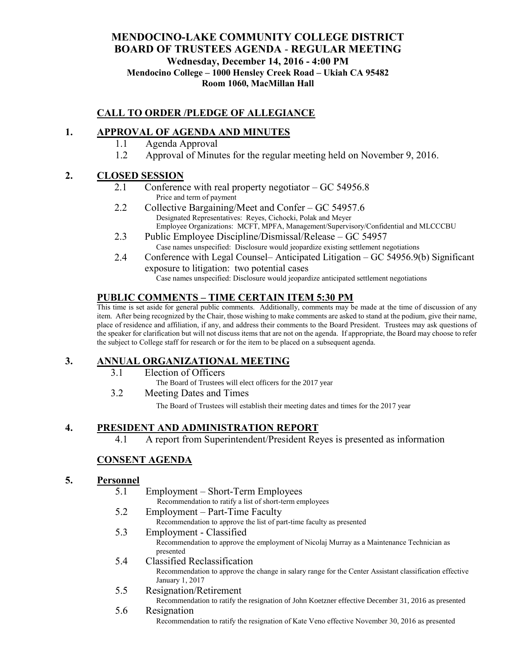## **MENDOCINO-LAKE COMMUNITY COLLEGE DISTRICT BOARD OF TRUSTEES AGENDA** - **REGULAR MEETING Wednesday, December 14, 2016 - 4:00 PM Mendocino College – 1000 Hensley Creek Road – Ukiah CA 95482 Room 1060, MacMillan Hall**

# **CALL TO ORDER /PLEDGE OF ALLEGIANCE**

# **1. APPROVAL OF AGENDA AND MINUTES**

- 1.1 Agenda Approval
- 1.2 Approval of Minutes for the regular meeting held on November 9, 2016.

### **2. CLOSED SESSION**

- 2.1 Conference with real property negotiator GC 54956.8 Price and term of payment
- 2.2 Collective Bargaining/Meet and Confer GC 54957.6 Designated Representatives: Reyes, Cichocki, Polak and Meyer Employee Organizations: MCFT, MPFA, Management/Supervisory/Confidential and MLCCCBU
- 2.3 Public Employee Discipline/Dismissal/Release GC 54957 Case names unspecified: Disclosure would jeopardize existing settlement negotiations
- 2.4 Conference with Legal Counsel– Anticipated Litigation GC 54956.9(b) Significant exposure to litigation: two potential cases Case names unspecified: Disclosure would jeopardize anticipated settlement negotiations

# **PUBLIC COMMENTS – TIME CERTAIN ITEM 5:30 PM**

This time is set aside for general public comments. Additionally, comments may be made at the time of discussion of any item. After being recognized by the Chair, those wishing to make comments are asked to stand at the podium, give their name, place of residence and affiliation, if any, and address their comments to the Board President. Trustees may ask questions of the speaker for clarification but will not discuss items that are not on the agenda. If appropriate, the Board may choose to refer the subject to College staff for research or for the item to be placed on a subsequent agenda.

## **3. ANNUAL ORGANIZATIONAL MEETING**

- 3.1 Election of Officers
	- The Board of Trustees will elect officers for the 2017 year
- 3.2 Meeting Dates and Times

The Board of Trustees will establish their meeting dates and times for the 2017 year

## **4. PRESIDENT AND ADMINISTRATION REPORT**

4.1 A report from Superintendent/President Reyes is presented as information

# **CONSENT AGENDA**

#### **5. Personnel**

- 5.1 Employment Short-Term Employees Recommendation to ratify a list of short-term employees
- 5.2 Employment Part-Time Faculty Recommendation to approve the list of part-time faculty as presented
- 5.3 Employment Classified Recommendation to approve the employment of Nicolaj Murray as a Maintenance Technician as presented

#### 5.4 Classified Reclassification

Recommendation to approve the change in salary range for the Center Assistant classification effective January 1, 2017

5.5 Resignation/Retirement

Recommendation to ratify the resignation of John Koetzner effective December 31, 2016 as presented

5.6 Resignation Recommendation to ratify the resignation of Kate Veno effective November 30, 2016 as presented